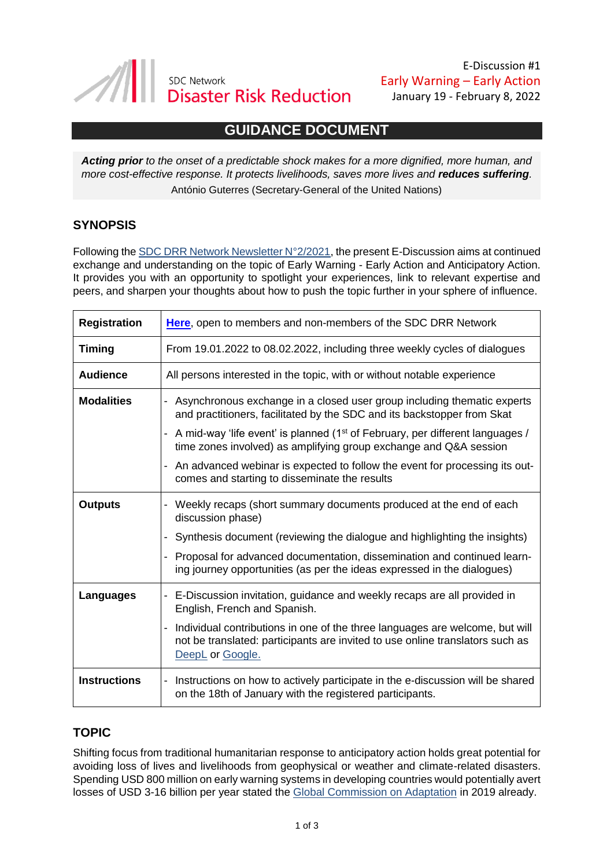

E-Discussion #1 Early Warning – Early Action January 19 - February 8, 2022

# **GUIDANCE DOCUMENT**

*Acting prior to the onset of a predictable shock makes for a more dignified, more human, and more cost-effective response. It protects livelihoods, saves more lives and reduces suffering.* António Guterres (Secretary-General of the United Nations)

### **SYNOPSIS**

Following the [SDC DRR Network Newsletter N°2/2021,](https://mw.weaver.ch/f/view.aspx?1CCFD1DBAA7CAEB2EA7BBC3FE28A7B9CAF125B1A7CBFD2EBCB2CC179CE88) the present E-Discussion aims at continued exchange and understanding on the topic of Early Warning - Early Action and Anticipatory Action. It provides you with an opportunity to spotlight your experiences, link to relevant expertise and peers, and sharpen your thoughts about how to push the topic further in your sphere of influence.

| <b>Registration</b> | Here, open to members and non-members of the SDC DRR Network                                                                                                                                                                                                                                                                                                                                                                                               |  |
|---------------------|------------------------------------------------------------------------------------------------------------------------------------------------------------------------------------------------------------------------------------------------------------------------------------------------------------------------------------------------------------------------------------------------------------------------------------------------------------|--|
| <b>Timing</b>       | From 19.01.2022 to 08.02.2022, including three weekly cycles of dialogues                                                                                                                                                                                                                                                                                                                                                                                  |  |
| <b>Audience</b>     | All persons interested in the topic, with or without notable experience                                                                                                                                                                                                                                                                                                                                                                                    |  |
| <b>Modalities</b>   | - Asynchronous exchange in a closed user group including thematic experts<br>and practitioners, facilitated by the SDC and its backstopper from Skat<br>- A mid-way 'life event' is planned (1 <sup>st</sup> of February, per different languages /<br>time zones involved) as amplifying group exchange and Q&A session<br>- An advanced webinar is expected to follow the event for processing its out-<br>comes and starting to disseminate the results |  |
| <b>Outputs</b>      | - Weekly recaps (short summary documents produced at the end of each<br>discussion phase)<br>Synthesis document (reviewing the dialogue and highlighting the insights)<br>- Proposal for advanced documentation, dissemination and continued learn-<br>ing journey opportunities (as per the ideas expressed in the dialogues)                                                                                                                             |  |
| Languages           | - E-Discussion invitation, guidance and weekly recaps are all provided in<br>English, French and Spanish.<br>- Individual contributions in one of the three languages are welcome, but will<br>not be translated: participants are invited to use online translators such as<br>DeepL or Google.                                                                                                                                                           |  |
| <b>Instructions</b> | - Instructions on how to actively participate in the e-discussion will be shared<br>on the 18th of January with the registered participants.                                                                                                                                                                                                                                                                                                               |  |

### **TOPIC**

Shifting focus from traditional humanitarian response to anticipatory action holds great potential for avoiding loss of lives and livelihoods from geophysical or weather and climate-related disasters. Spending USD 800 million on early warning systems in developing countries would potentially avert losses of USD 3-16 billion per year stated the [Global Commission on Adaptation](https://gca.org/about-us/the-global-commission-on-adaptation/) in 2019 already.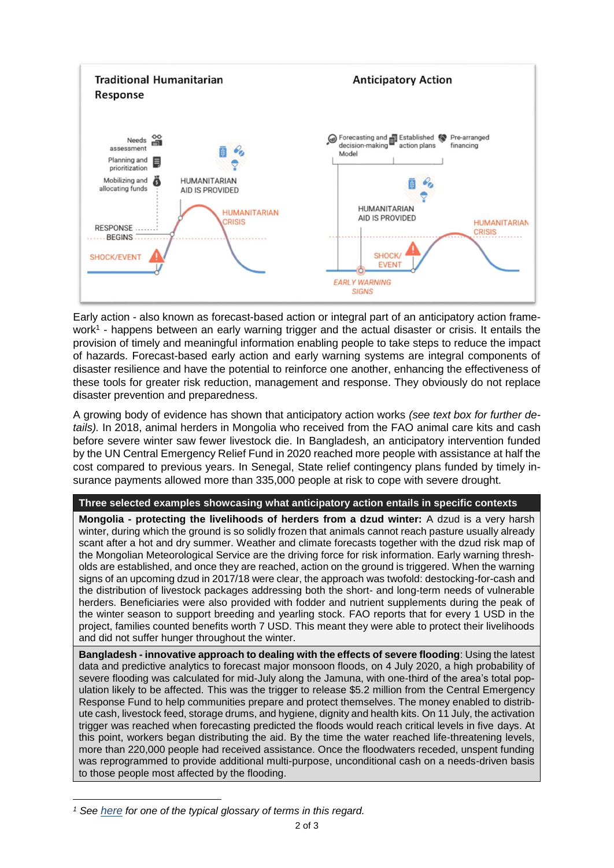

Early action - also known as forecast-based action or integral part of an anticipatory action framework<sup>1</sup> - happens between an early warning trigger and the actual disaster or crisis. It entails the provision of timely and meaningful information enabling people to take steps to reduce the impact of hazards. Forecast-based early action and early warning systems are integral components of disaster resilience and have the potential to reinforce one another, enhancing the effectiveness of these tools for greater risk reduction, management and response. They obviously do not replace disaster prevention and preparedness.

A growing body of evidence has shown that anticipatory action works *(see text box for further details).* In 2018, animal herders in Mongolia who received from the FAO animal care kits and cash before severe winter saw fewer livestock die. In Bangladesh, an anticipatory intervention funded by the UN Central Emergency Relief Fund in 2020 reached more people with assistance at half the cost compared to previous years. In Senegal, State relief contingency plans funded by timely insurance payments allowed more than 335,000 people at risk to cope with severe drought.

#### **Three selected examples showcasing what anticipatory action entails in specific contexts**

**Mongolia - protecting the livelihoods of herders from a dzud winter:** A dzud is a very harsh winter, during which the ground is so solidly frozen that animals cannot reach pasture usually already scant after a hot and dry summer. Weather and climate forecasts together with the dzud risk map of the Mongolian Meteorological Service are the driving force for risk information. Early warning thresholds are established, and once they are reached, action on the ground is triggered. When the warning signs of an upcoming dzud in 2017/18 were clear, the approach was twofold: destocking-for-cash and the distribution of livestock packages addressing both the short- and long-term needs of vulnerable herders. Beneficiaries were also provided with fodder and nutrient supplements during the peak of the winter season to support breeding and yearling stock. FAO reports that for every 1 USD in the project, families counted benefits worth 7 USD. This meant they were able to protect their livelihoods and did not suffer hunger throughout the winter.

**Bangladesh - innovative approach to dealing with the effects of severe flooding**: Using the latest data and predictive analytics to forecast major monsoon floods, on 4 July 2020, a high probability of severe flooding was calculated for mid-July along the Jamuna, with one-third of the area's total population likely to be affected. This was the trigger to release \$5.2 million from the Central Emergency Response Fund to help communities prepare and protect themselves. The money enabled to distribute cash, livestock feed, storage drums, and hygiene, dignity and health kits. On 11 July, the activation trigger was reached when forecasting predicted the floods would reach critical levels in five days. At this point, workers began distributing the aid. By the time the water reached life-threatening levels, more than 220,000 people had received assistance. Once the floodwaters receded, unspent funding was reprogrammed to provide additional multi-purpose, unconditional cash on a needs-driven basis to those people most affected by the flooding.

 $\overline{a}$ 

*<sup>1</sup> See [here](https://manual.forecast-based-financing.org/en/chapter/glossary) for one of the typical glossary of terms in this regard.*